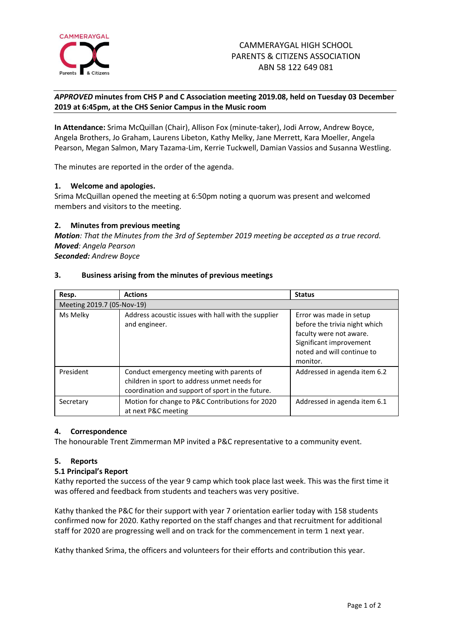

# *APPROVED* **minutes from CHS P and C Association meeting 2019.08, held on Tuesday 03 December 2019 at 6:45pm, at the CHS Senior Campus in the Music room**

**In Attendance:** Srima McQuillan (Chair), Allison Fox (minute-taker), Jodi Arrow, Andrew Boyce, Angela Brothers, Jo Graham, Laurens Libeton, Kathy Melky, Jane Merrett, Kara Moeller, Angela Pearson, Megan Salmon, Mary Tazama-Lim, Kerrie Tuckwell, Damian Vassios and Susanna Westling.

The minutes are reported in the order of the agenda.

# **1. Welcome and apologies.**

Srima McQuillan opened the meeting at 6:50pm noting a quorum was present and welcomed members and visitors to the meeting.

## **2. Minutes from previous meeting**

*Motion: That the Minutes from the 3rd of September 2019 meeting be accepted as a true record. Moved: Angela Pearson Seconded: Andrew Boyce*

## **3. Business arising from the minutes of previous meetings**

| Resp.                      | <b>Actions</b>                                                                                                                                | <b>Status</b>                                                                                                                                            |
|----------------------------|-----------------------------------------------------------------------------------------------------------------------------------------------|----------------------------------------------------------------------------------------------------------------------------------------------------------|
| Meeting 2019.7 (05-Nov-19) |                                                                                                                                               |                                                                                                                                                          |
| Ms Melky                   | Address acoustic issues with hall with the supplier<br>and engineer.                                                                          | Error was made in setup<br>before the trivia night which<br>faculty were not aware.<br>Significant improvement<br>noted and will continue to<br>monitor. |
| President                  | Conduct emergency meeting with parents of<br>children in sport to address unmet needs for<br>coordination and support of sport in the future. | Addressed in agenda item 6.2                                                                                                                             |
| Secretary                  | Motion for change to P&C Contributions for 2020<br>at next P&C meeting                                                                        | Addressed in agenda item 6.1                                                                                                                             |

## **4. Correspondence**

The honourable Trent Zimmerman MP invited a P&C representative to a community event.

## **5. Reports**

## **5.1 Principal's Report**

Kathy reported the success of the year 9 camp which took place last week. This was the first time it was offered and feedback from students and teachers was very positive.

Kathy thanked the P&C for their support with year 7 orientation earlier today with 158 students confirmed now for 2020. Kathy reported on the staff changes and that recruitment for additional staff for 2020 are progressing well and on track for the commencement in term 1 next year.

Kathy thanked Srima, the officers and volunteers for their efforts and contribution this year.